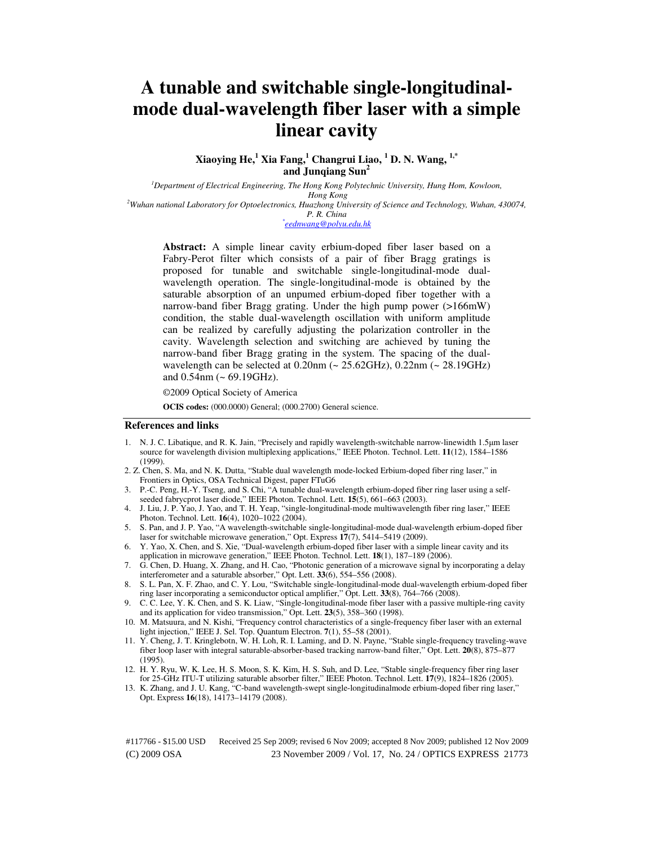# **A tunable and switchable single-longitudinalmode dual-wavelength fiber laser with a simple linear cavity**

**Xiaoying He,<sup>1</sup> Xia Fang,<sup>1</sup> Changrui Liao, <sup>1</sup> D. N. Wang, 1,\* and Junqiang Sun<sup>2</sup>**

*<sup>1</sup>Department of Electrical Engineering, The Hong Kong Polytechnic University, Hung Hom, Kowloon, Hong Kong* 

*<sup>2</sup>Wuhan national Laboratory for Optoelectronics, Huazhong University of Science and Technology, Wuhan, 430074,* 

#### *P. R. China \* eednwang@polyu.edu.hk*

**Abstract:** A simple linear cavity erbium-doped fiber laser based on a Fabry-Perot filter which consists of a pair of fiber Bragg gratings is proposed for tunable and switchable single-longitudinal-mode dualwavelength operation. The single-longitudinal-mode is obtained by the saturable absorption of an unpumed erbium-doped fiber together with a narrow-band fiber Bragg grating. Under the high pump power (>166mW) condition, the stable dual-wavelength oscillation with uniform amplitude can be realized by carefully adjusting the polarization controller in the cavity. Wavelength selection and switching are achieved by tuning the narrow-band fiber Bragg grating in the system. The spacing of the dualwavelength can be selected at 0.20nm (~ 25.62GHz), 0.22nm (~ 28.19GHz) and 0.54nm (~ 69.19GHz).

©2009 Optical Society of America

**OCIS codes:** (000.0000) General; (000.2700) General science.

#### **References and links**

- 1. N. J. C. Libatique, and R. K. Jain, "Precisely and rapidly wavelength-switchable narrow-linewidth 1.5µm laser source for wavelength division multiplexing applications," IEEE Photon. Technol. Lett. **11**(12), 1584–1586 (1999).
- 2. Z. Chen, S. Ma, and N. K. Dutta, "Stable dual wavelength mode-locked Erbium-doped fiber ring laser," in Frontiers in Optics, OSA Technical Digest, paper FTuG6
- 3. P.-C. Peng, H.-Y. Tseng, and S. Chi, "A tunable dual-wavelength erbium-doped fiber ring laser using a selfseeded fabrycprot laser diode," IEEE Photon. Technol. Lett. **15**(5), 661–663 (2003).
- 4. J. Liu, J. P. Yao, J. Yao, and T. H. Yeap, "single-longitudinal-mode multiwavelength fiber ring laser," IEEE Photon. Technol. Lett. **16**(4), 1020–1022 (2004).
- 5. S. Pan, and J. P. Yao, "A wavelength-switchable single-longitudinal-mode dual-wavelength erbium-doped fiber laser for switchable microwave generation," Opt. Express **17**(7), 5414–5419 (2009).
- 6. Y. Yao, X. Chen, and S. Xie, "Dual-wavelength erbium-doped fiber laser with a simple linear cavity and its application in microwave generation," IEEE Photon. Technol. Lett. **18**(1), 187–189 (2006).
- 7. G. Chen, D. Huang, X. Zhang, and H. Cao, "Photonic generation of a microwave signal by incorporating a delay interferometer and a saturable absorber," Opt. Lett. **33**(6), 554–556 (2008).
- 8. S. L. Pan, X. F. Zhao, and C. Y. Lou, "Switchable single-longitudinal-mode dual-wavelength erbium-doped fiber ring laser incorporating a semiconductor optical amplifier," Opt. Lett. **33**(8), 764–766 (2008).
- 9. C. C. Lee, Y. K. Chen, and S. K. Liaw, "Single-longitudinal-mode fiber laser with a passive multiple-ring cavity and its application for video transmission," Opt. Lett. **23**(5), 358–360 (1998).
- 10. M. Matsuura, and N. Kishi, "Frequency control characteristics of a single-frequency fiber laser with an external light injection," IEEE J. Sel. Top. Quantum Electron. **7**(1), 55–58 (2001).
- 11. Y. Cheng, J. T. Kringlebotn, W. H. Loh, R. I. Laming, and D. N. Payne, "Stable single-frequency traveling-wave fiber loop laser with integral saturable-absorber-based tracking narrow-band filter," Opt. Lett. **20**(8), 875–877 (1995).
- 12. H. Y. Ryu, W. K. Lee, H. S. Moon, S. K. Kim, H. S. Suh, and D. Lee, "Stable single-frequency fiber ring laser for 25-GHz ITU-T utilizing saturable absorber filter," IEEE Photon. Technol. Lett. **17**(9), 1824–1826 (2005).
- 13. K. Zhang, and J. U. Kang, "C-band wavelength-swept single-longitudinalmode erbium-doped fiber ring laser," Opt. Express **16**(18), 14173–14179 (2008).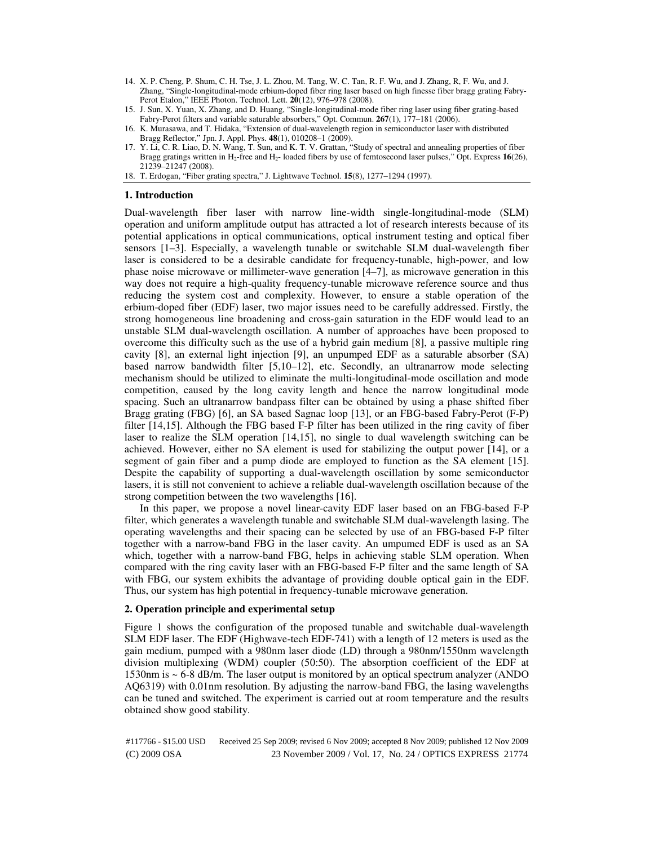- 14. X. P. Cheng, P. Shum, C. H. Tse, J. L. Zhou, M. Tang, W. C. Tan, R. F. Wu, and J. Zhang, R, F. Wu, and J. Zhang, "Single-longitudinal-mode erbium-doped fiber ring laser based on high finesse fiber bragg grating Fabry-Perot Etalon," IEEE Photon. Technol. Lett. **20**(12), 976–978 (2008).
- 15. J. Sun, X. Yuan, X. Zhang, and D. Huang, "Single-longitudinal-mode fiber ring laser using fiber grating-based Fabry-Perot filters and variable saturable absorbers," Opt. Commun. **267**(1), 177–181 (2006).
- 16. K. Murasawa, and T. Hidaka, "Extension of dual-wavelength region in semiconductor laser with distributed Bragg Reflector," Jpn. J. Appl. Phys. **48**(1), 010208–1 (2009).
- 17. Y. Li, C. R. Liao, D. N. Wang, T. Sun, and K. T. V. Grattan, "Study of spectral and annealing properties of fiber Bragg gratings written in H2-free and H2- loaded fibers by use of femtosecond laser pulses," Opt. Express **16**(26), 21239–21247 (2008).
- 18. T. Erdogan, "Fiber grating spectra," J. Lightwave Technol. **15**(8), 1277–1294 (1997).

## **1. Introduction**

Dual-wavelength fiber laser with narrow line-width single-longitudinal-mode (SLM) operation and uniform amplitude output has attracted a lot of research interests because of its potential applications in optical communications, optical instrument testing and optical fiber sensors [1–3]. Especially, a wavelength tunable or switchable SLM dual-wavelength fiber laser is considered to be a desirable candidate for frequency-tunable, high-power, and low phase noise microwave or millimeter-wave generation [4–7], as microwave generation in this way does not require a high-quality frequency-tunable microwave reference source and thus reducing the system cost and complexity. However, to ensure a stable operation of the erbium-doped fiber (EDF) laser, two major issues need to be carefully addressed. Firstly, the strong homogeneous line broadening and cross-gain saturation in the EDF would lead to an unstable SLM dual-wavelength oscillation. A number of approaches have been proposed to overcome this difficulty such as the use of a hybrid gain medium [8], a passive multiple ring cavity [8], an external light injection [9], an unpumped EDF as a saturable absorber (SA) based narrow bandwidth filter [5,10–12], etc. Secondly, an ultranarrow mode selecting mechanism should be utilized to eliminate the multi-longitudinal-mode oscillation and mode competition, caused by the long cavity length and hence the narrow longitudinal mode spacing. Such an ultranarrow bandpass filter can be obtained by using a phase shifted fiber Bragg grating (FBG) [6], an SA based Sagnac loop [13], or an FBG-based Fabry-Perot (F-P) filter [14,15]. Although the FBG based F-P filter has been utilized in the ring cavity of fiber laser to realize the SLM operation [14,15], no single to dual wavelength switching can be achieved. However, either no SA element is used for stabilizing the output power [14], or a segment of gain fiber and a pump diode are employed to function as the SA element [15]. Despite the capability of supporting a dual-wavelength oscillation by some semiconductor lasers, it is still not convenient to achieve a reliable dual-wavelength oscillation because of the strong competition between the two wavelengths [16].

In this paper, we propose a novel linear-cavity EDF laser based on an FBG-based F-P filter, which generates a wavelength tunable and switchable SLM dual-wavelength lasing. The operating wavelengths and their spacing can be selected by use of an FBG-based F-P filter together with a narrow-band FBG in the laser cavity. An umpumed EDF is used as an SA which, together with a narrow-band FBG, helps in achieving stable SLM operation. When compared with the ring cavity laser with an FBG-based F-P filter and the same length of SA with FBG, our system exhibits the advantage of providing double optical gain in the EDF. Thus, our system has high potential in frequency-tunable microwave generation.

#### **2. Operation principle and experimental setup**

Figure 1 shows the configuration of the proposed tunable and switchable dual-wavelength SLM EDF laser. The EDF (Highwave-tech EDF-741) with a length of 12 meters is used as the gain medium, pumped with a 980nm laser diode (LD) through a 980nm/1550nm wavelength division multiplexing (WDM) coupler (50:50). The absorption coefficient of the EDF at 1530nm is ~ 6-8 dB/m. The laser output is monitored by an optical spectrum analyzer (ANDO AQ6319) with 0.01nm resolution. By adjusting the narrow-band FBG, the lasing wavelengths can be tuned and switched. The experiment is carried out at room temperature and the results obtained show good stability.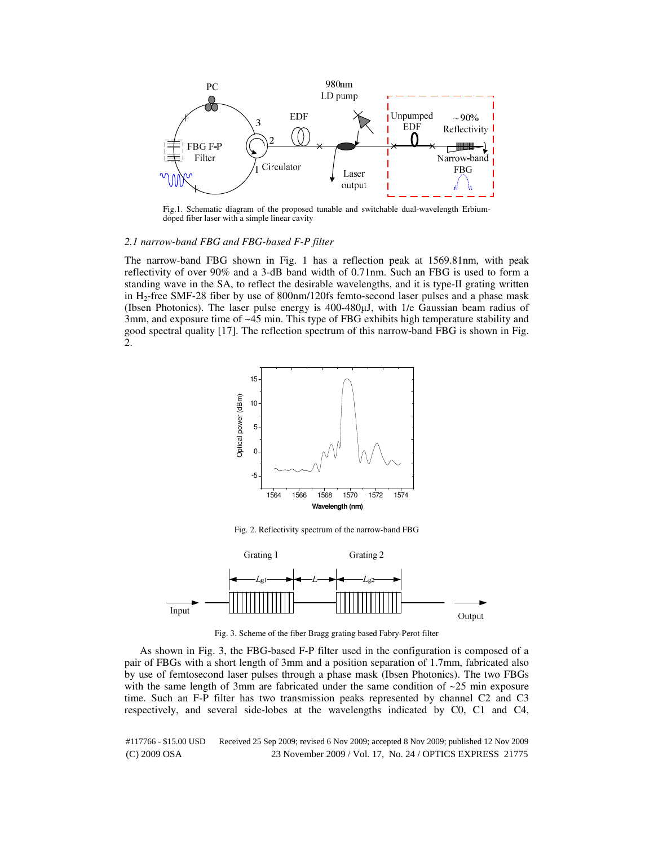

Fig.1. Schematic diagram of the proposed tunable and switchable dual-wavelength Erbiumdoped fiber laser with a simple linear cavity

## *2.1 narrow-band FBG and FBG-based F-P filter*

The narrow-band FBG shown in Fig. 1 has a reflection peak at 1569.81nm, with peak reflectivity of over 90% and a 3-dB band width of 0.71nm. Such an FBG is used to form a standing wave in the SA, to reflect the desirable wavelengths, and it is type-II grating written in H2-free SMF-28 fiber by use of 800nm/120fs femto-second laser pulses and a phase mask (Ibsen Photonics). The laser pulse energy is 400-480µJ, with 1/e Gaussian beam radius of 3mm, and exposure time of ~45 min. This type of FBG exhibits high temperature stability and good spectral quality [17]. The reflection spectrum of this narrow-band FBG is shown in Fig. 2.



Fig. 2. Reflectivity spectrum of the narrow-band FBG



Fig. 3. Scheme of the fiber Bragg grating based Fabry-Perot filter

As shown in Fig. 3, the FBG-based F-P filter used in the configuration is composed of a pair of FBGs with a short length of 3mm and a position separation of 1.7mm, fabricated also by use of femtosecond laser pulses through a phase mask (Ibsen Photonics). The two FBGs with the same length of 3mm are fabricated under the same condition of  $\sim$ 25 min exposure time. Such an F-P filter has two transmission peaks represented by channel C2 and C3 respectively, and several side-lobes at the wavelengths indicated by C0, C1 and C4,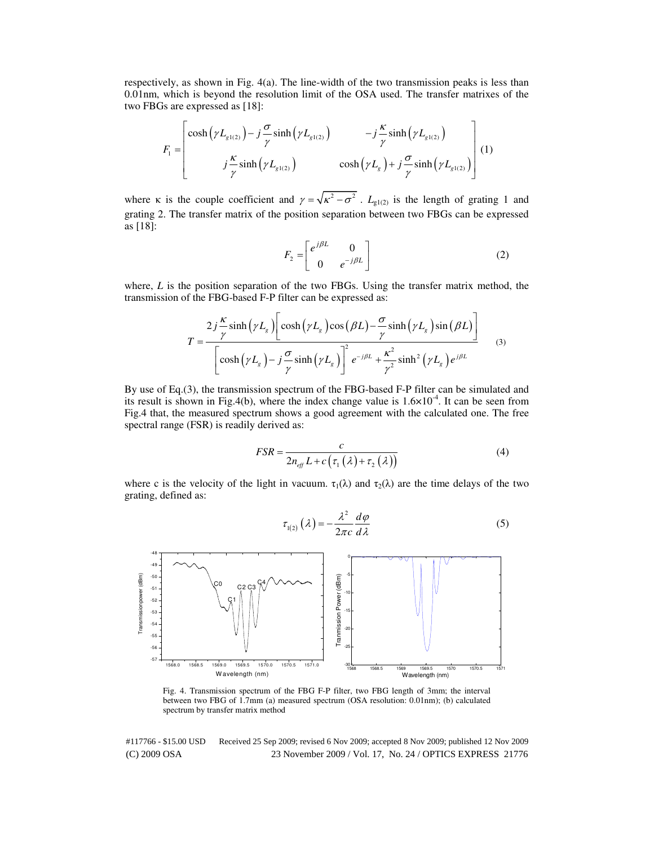respectively, as shown in Fig. 4(a). The line-width of the two transmission peaks is less than 0.01nm, which is beyond the resolution limit of the OSA used. The transfer matrixes of the two FBGs are expressed as [18]:

$$
F_{1} = \begin{bmatrix} \cosh\left(\gamma L_{g1(2)}\right) - j\frac{\sigma}{\gamma}\sinh\left(\gamma L_{g1(2)}\right) & -j\frac{\kappa}{\gamma}\sinh\left(\gamma L_{g1(2)}\right) \\ j\frac{\kappa}{\gamma}\sinh\left(\gamma L_{g1(2)}\right) & \cosh\left(\gamma L_{g}\right) + j\frac{\sigma}{\gamma}\sinh\left(\gamma L_{g1(2)}\right) \end{bmatrix} (1)
$$

where κ is the couple coefficient and  $\gamma = \sqrt{\kappa^2 - \sigma^2}$ .  $L_{g1(2)}$  is the length of grating 1 and grating 2. The transfer matrix of the position separation between two FBGs can be expressed as [18]:

$$
F_2 = \begin{bmatrix} e^{j\beta L} & 0\\ 0 & e^{-j\beta L} \end{bmatrix}
$$
 (2)

where, *L* is the position separation of the two FBGs. Using the transfer matrix method, the transmission of the FBG-based F-P filter can be expressed as:

$$
T = \frac{2j\frac{\kappa}{\gamma}\sinh(\gamma L_s)\left[\cosh(\gamma L_s)\cos(\beta L) - \frac{\sigma}{\gamma}\sinh(\gamma L_s)\sin(\beta L)\right]}{\left[\cosh(\gamma L_s) - j\frac{\sigma}{\gamma}\sinh(\gamma L_s)\right]^2 e^{-j\beta L} + \frac{\kappa^2}{\gamma^2}\sinh^2(\gamma L_s)e^{j\beta L}}
$$
(3)

By use of Eq.(3), the transmission spectrum of the FBG-based F-P filter can be simulated and its result is shown in Fig.4(b), where the index change value is  $1.6 \times 10^{-4}$ . It can be seen from Fig.4 that, the measured spectrum shows a good agreement with the calculated one. The free spectral range (FSR) is readily derived as:

$$
FSR = \frac{c}{2n_{\text{eff}}L + c(\tau_1(\lambda) + \tau_2(\lambda))}
$$
(4)

where c is the velocity of the light in vacuum.  $\tau_1(\lambda)$  and  $\tau_2(\lambda)$  are the time delays of the two grating, defined as:



Fig. 4. Transmission spectrum of the FBG F-P filter, two FBG length of 3mm; the interval between two FBG of 1.7mm (a) measured spectrum (OSA resolution: 0.01nm); (b) calculated spectrum by transfer matrix method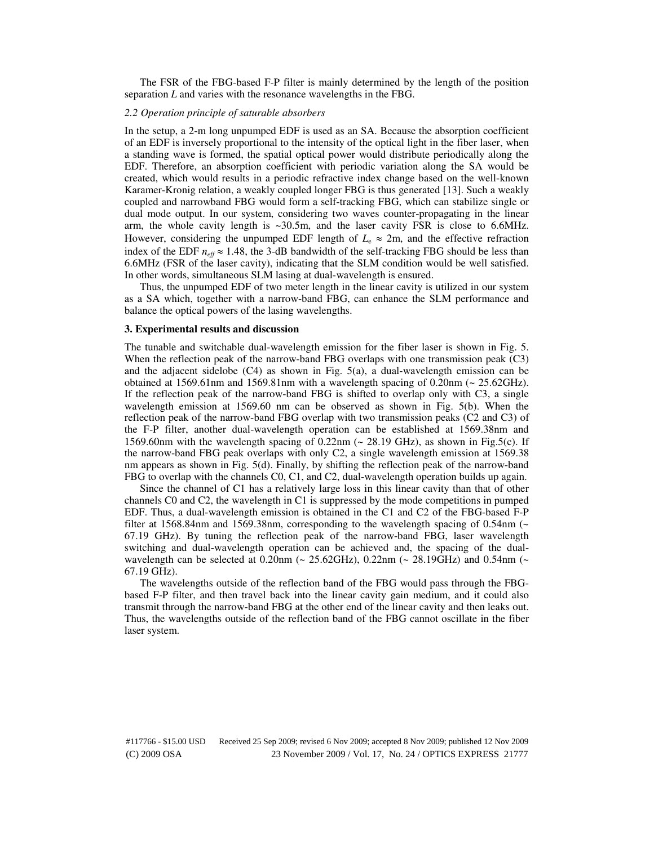The FSR of the FBG-based F-P filter is mainly determined by the length of the position separation *L* and varies with the resonance wavelengths in the FBG.

## *2.2 Operation principle of saturable absorbers*

In the setup, a 2-m long unpumped EDF is used as an SA. Because the absorption coefficient of an EDF is inversely proportional to the intensity of the optical light in the fiber laser, when a standing wave is formed, the spatial optical power would distribute periodically along the EDF. Therefore, an absorption coefficient with periodic variation along the SA would be created, which would results in a periodic refractive index change based on the well-known Karamer-Kronig relation, a weakly coupled longer FBG is thus generated [13]. Such a weakly coupled and narrowband FBG would form a self-tracking FBG, which can stabilize single or dual mode output. In our system, considering two waves counter-propagating in the linear arm, the whole cavity length is ~30.5m, and the laser cavity FSR is close to 6.6MHz. However, considering the unpumped EDF length of  $L_e \approx 2m$ , and the effective refraction index of the EDF  $n_{\text{eff}} \approx 1.48$ , the 3-dB bandwidth of the self-tracking FBG should be less than 6.6MHz (FSR of the laser cavity), indicating that the SLM condition would be well satisfied. In other words, simultaneous SLM lasing at dual-wavelength is ensured.

Thus, the unpumped EDF of two meter length in the linear cavity is utilized in our system as a SA which, together with a narrow-band FBG, can enhance the SLM performance and balance the optical powers of the lasing wavelengths.

## **3. Experimental results and discussion**

The tunable and switchable dual-wavelength emission for the fiber laser is shown in Fig. 5. When the reflection peak of the narrow-band FBG overlaps with one transmission peak (C3) and the adjacent sidelobe (C4) as shown in Fig. 5(a), a dual-wavelength emission can be obtained at 1569.61nm and 1569.81nm with a wavelength spacing of 0.20nm (~ 25.62GHz). If the reflection peak of the narrow-band FBG is shifted to overlap only with C3, a single wavelength emission at 1569.60 nm can be observed as shown in Fig. 5(b). When the reflection peak of the narrow-band FBG overlap with two transmission peaks (C2 and C3) of the F-P filter, another dual-wavelength operation can be established at 1569.38nm and 1569.60nm with the wavelength spacing of 0.22nm ( $\sim$  28.19 GHz), as shown in Fig.5(c). If the narrow-band FBG peak overlaps with only C2, a single wavelength emission at 1569.38 nm appears as shown in Fig. 5(d). Finally, by shifting the reflection peak of the narrow-band FBG to overlap with the channels C0, C1, and C2, dual-wavelength operation builds up again.

Since the channel of C1 has a relatively large loss in this linear cavity than that of other channels C0 and C2, the wavelength in C1 is suppressed by the mode competitions in pumped EDF. Thus, a dual-wavelength emission is obtained in the C1 and C2 of the FBG-based F-P filter at 1568.84nm and 1569.38nm, corresponding to the wavelength spacing of  $0.54$ nm (~ 67.19 GHz). By tuning the reflection peak of the narrow-band FBG, laser wavelength switching and dual-wavelength operation can be achieved and, the spacing of the dualwavelength can be selected at 0.20nm ( $\sim$  25.62GHz), 0.22nm ( $\sim$  28.19GHz) and 0.54nm ( $\sim$ 67.19 GHz).

The wavelengths outside of the reflection band of the FBG would pass through the FBGbased F-P filter, and then travel back into the linear cavity gain medium, and it could also transmit through the narrow-band FBG at the other end of the linear cavity and then leaks out. Thus, the wavelengths outside of the reflection band of the FBG cannot oscillate in the fiber laser system.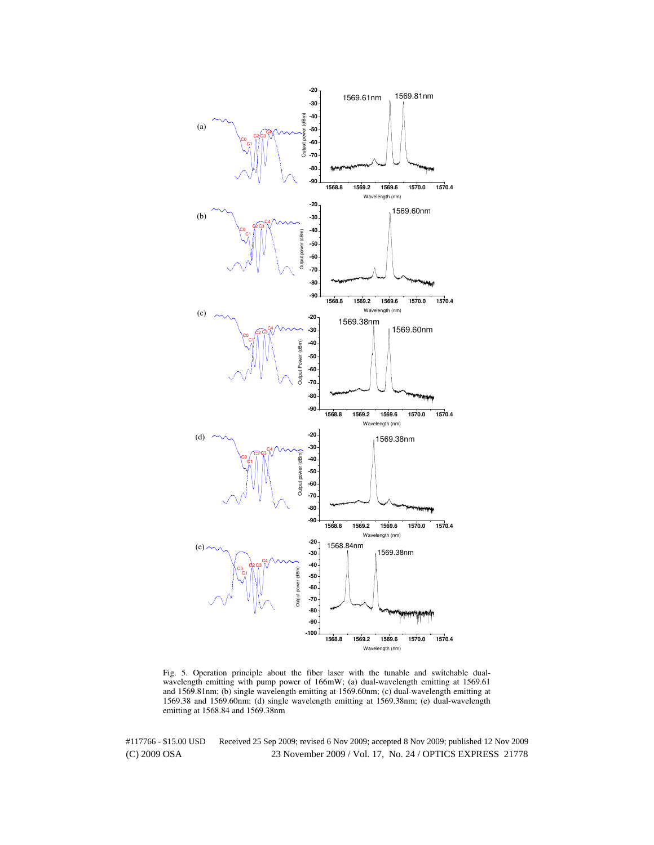

Fig. 5. Operation principle about the fiber laser with the tunable and switchable dualwavelength emitting with pump power of 166mW; (a) dual-wavelength emitting at 1569.61 and 1569.81nm; (b) single wavelength emitting at 1569.60nm; (c) dual-wavelength emitting at 1569.38 and 1569.60nm; (d) single wavelength emitting at 1569.38nm; (e) dual-wavelength emitting at 1568.84 and 1569.38nm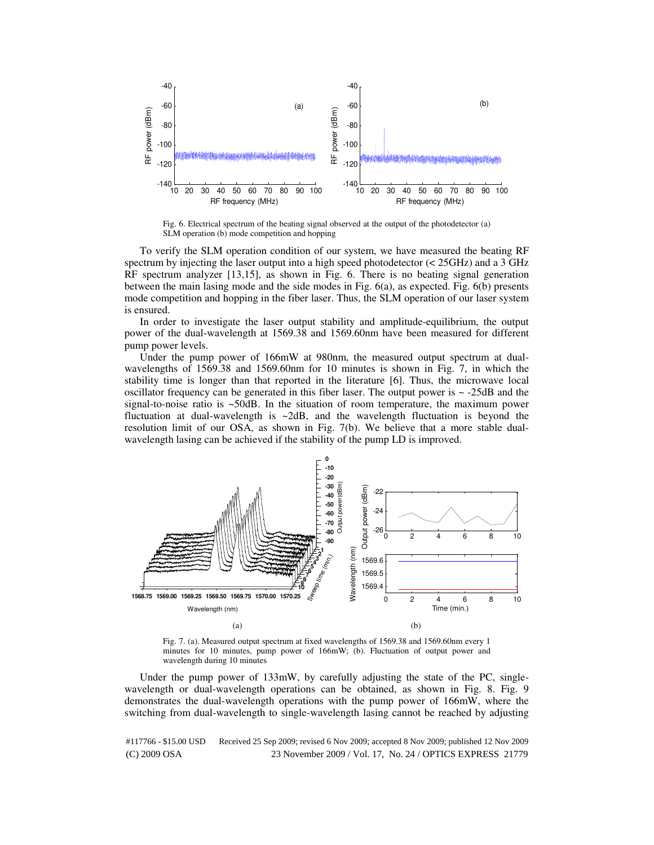

Fig. 6. Electrical spectrum of the beating signal observed at the output of the photodetector (a) SLM operation (b) mode competition and hopping

To verify the SLM operation condition of our system, we have measured the beating RF spectrum by injecting the laser output into a high speed photodetector  $\ll$  25GHz) and a 3 GHz RF spectrum analyzer [13,15], as shown in Fig. 6. There is no beating signal generation between the main lasing mode and the side modes in Fig. 6(a), as expected. Fig. 6(b) presents mode competition and hopping in the fiber laser. Thus, the SLM operation of our laser system is ensured.

In order to investigate the laser output stability and amplitude-equilibrium, the output power of the dual-wavelength at 1569.38 and 1569.60nm have been measured for different pump power levels.

Under the pump power of 166mW at 980nm, the measured output spectrum at dualwavelengths of 1569.38 and 1569.60nm for 10 minutes is shown in Fig. 7, in which the stability time is longer than that reported in the literature [6]. Thus, the microwave local oscillator frequency can be generated in this fiber laser. The output power is  $\sim$  -25dB and the signal-to-noise ratio is ~50dB. In the situation of room temperature, the maximum power fluctuation at dual-wavelength is  $\sim$ 2dB, and the wavelength fluctuation is beyond the resolution limit of our OSA, as shown in Fig. 7(b). We believe that a more stable dualwavelength lasing can be achieved if the stability of the pump LD is improved.



Fig. 7. (a). Measured output spectrum at fixed wavelengths of 1569.38 and 1569.60nm every 1 minutes for 10 minutes, pump power of 166mW; (b). Fluctuation of output power and wavelength during 10 minutes

Under the pump power of 133mW, by carefully adjusting the state of the PC, singlewavelength or dual-wavelength operations can be obtained, as shown in Fig. 8. Fig. 9 demonstrates the dual-wavelength operations with the pump power of 166mW, where the switching from dual-wavelength to single-wavelength lasing cannot be reached by adjusting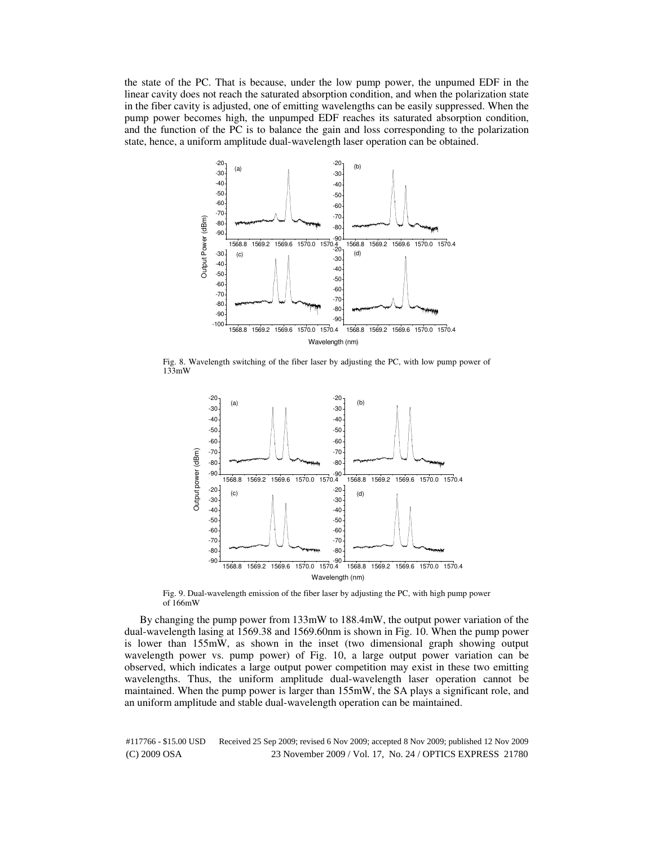the state of the PC. That is because, under the low pump power, the unpumed EDF in the linear cavity does not reach the saturated absorption condition, and when the polarization state in the fiber cavity is adjusted, one of emitting wavelengths can be easily suppressed. When the pump power becomes high, the unpumped EDF reaches its saturated absorption condition, and the function of the PC is to balance the gain and loss corresponding to the polarization state, hence, a uniform amplitude dual-wavelength laser operation can be obtained.



Fig. 8. Wavelength switching of the fiber laser by adjusting the PC, with low pump power of 133mW



Fig. 9. Dual-wavelength emission of the fiber laser by adjusting the PC, with high pump power of 166mW

By changing the pump power from 133mW to 188.4mW, the output power variation of the dual-wavelength lasing at 1569.38 and 1569.60nm is shown in Fig. 10. When the pump power is lower than 155mW, as shown in the inset (two dimensional graph showing output wavelength power vs. pump power) of Fig. 10, a large output power variation can be observed, which indicates a large output power competition may exist in these two emitting wavelengths. Thus, the uniform amplitude dual-wavelength laser operation cannot be maintained. When the pump power is larger than 155mW, the SA plays a significant role, and an uniform amplitude and stable dual-wavelength operation can be maintained.